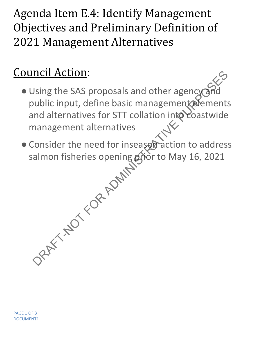Agenda Item E.4: Identify Management Objectives and Preliminary Definition of 2021 Management Alternatives

## Council Action:

- . Using the SAS proposals and other agency and public input, define basic management elements and alternatives for STT collation into coastwide management alternatives DRAFT-NOTE:<br>
Using the SAS proposals and other agency and<br>
uublic input, define basic management alternatives<br>
In alternatives<br>
Consider the need for insease praction to address<br>
almon fisheries opening grior to May 16, 2
- Consider the need for inseason action to address salmon fisheries opening **grìo**r to May 16, 2021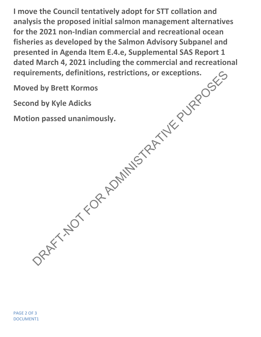**I move the Council tentatively adopt for STT collation and analysis the proposed initial salmon management alternatives for the 2021 non-Indian commercial and recreational ocean fisheries as developed by the Salmon Advisory Subpanel and presented in Agenda Item E.4.e, Supplemental SAS Report 1 dated March 4, 2021 including the commercial and recreational requirements, definitions, restrictions, or exceptions.** Provided by Brett Kormos<br>
and by Brett Kormos<br>
and by Kyle Adicks<br>
on passed unanimously.<br>
ARAFT-NOT FOR ADMINISTRATIVE PURPORT AND THE PURPORT OF PURPOSES

**Moved by Brett Kormos**

**Second by Kyle Adicks**

**Motion passed unanimously.**